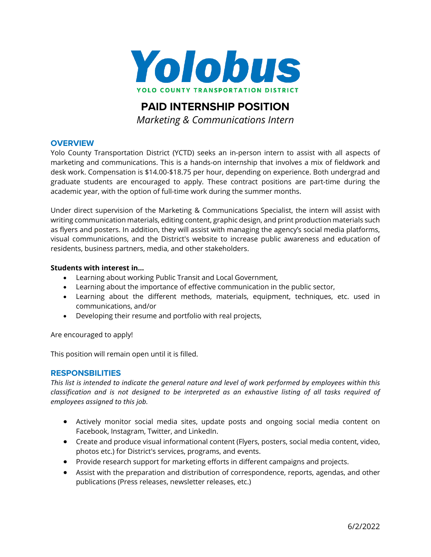

# **PAID INTERNSHIP POSITION**  *Marketing & Communications Intern*

## **OVERVIEW**

Yolo County Transportation District (YCTD) seeks an in-person intern to assist with all aspects of marketing and communications. This is a hands-on internship that involves a mix of fieldwork and desk work. Compensation is \$14.00-\$18.75 per hour, depending on experience. Both undergrad and graduate students are encouraged to apply. These contract positions are part-time during the academic year, with the option of full-time work during the summer months.

Under direct supervision of the Marketing & Communications Specialist, the intern will assist with writing communication materials, editing content, graphic design, and print production materials such as flyers and posters. In addition, they will assist with managing the agency's social media platforms, visual communications, and the District's website to increase public awareness and education of residents, business partners, media, and other stakeholders.

#### **Students with interest in…**

- Learning about working Public Transit and Local Government,
- Learning about the importance of effective communication in the public sector,
- Learning about the different methods, materials, equipment, techniques, etc. used in communications, and/or
- Developing their resume and portfolio with real projects,

Are encouraged to apply!

This position will remain open until it is filled.

## **RESPONSBILITIES**

*This list is intended to indicate the general nature and level of work performed by employees within this classification and is not designed to be interpreted as an exhaustive listing of all tasks required of employees assigned to this job.*

- Actively monitor social media sites, update posts and ongoing social media content on Facebook, Instagram, Twitter, and LinkedIn.
- Create and produce visual informational content (Flyers, posters, social media content, video, photos etc.) for District's services, programs, and events.
- Provide research support for marketing efforts in different campaigns and projects.
- Assist with the preparation and distribution of correspondence, reports, agendas, and other publications (Press releases, newsletter releases, etc.)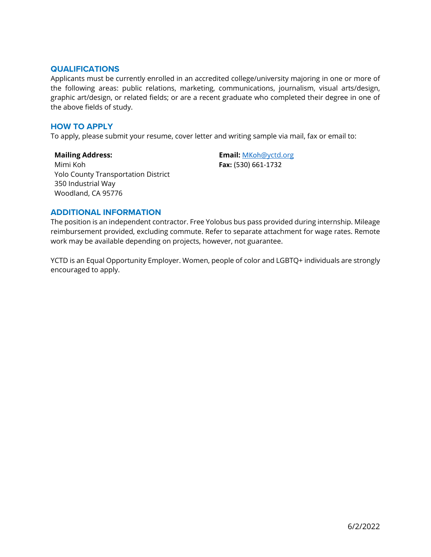#### **QUALIFICATIONS**

Applicants must be currently enrolled in an accredited college/university majoring in one or more of the following areas: public relations, marketing, communications, journalism, visual arts/design, graphic art/design, or related fields; or are a recent graduate who completed their degree in one of the above fields of study.

### **HOW TO APPLY**

To apply, please submit your resume, cover letter and writing sample via mail, fax or email to:

**Mailing Address:** Mimi Koh Yolo County Transportation District 350 Industrial Way Woodland, CA 95776

**Email:** [MKoh](mailto:MKoh@yctd.org)[@yctd.org](mailto:MKoh@yctd.org) **Fax:** (530) 661-1732

## **ADDITIONAL INFORMATION**

The position is an independent contractor. Free Yolobus bus pass provided during internship. Mileage reimbursement provided, excluding commute. Refer to separate attachment for wage rates. Remote work may be available depending on projects, however, not guarantee.

YCTD is an Equal Opportunity Employer. Women, people of color and LGBTQ+ individuals are strongly encouraged to apply.